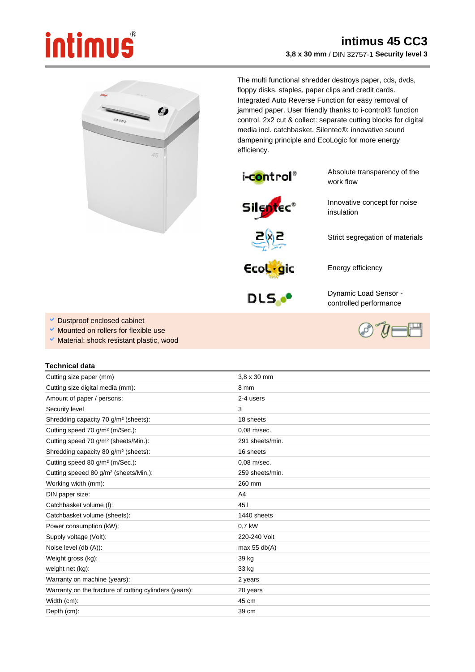## intimus

## **intimus 45 CC3 3,8 x 30 mm** / DIN 32757-1 **Security level 3**



The multi functional shredder destroys paper, cds, dvds, floppy disks, staples, paper clips and credit cards. Integrated Auto Reverse Function for easy removal of jammed paper. User friendly thanks to i-control® function control. 2x2 cut & collect: separate cutting blocks for digital media incl. catchbasket. Silentec®: innovative sound dampening principle and EcoLogic for more energy efficiency.



Absolute transparency of the work flow

Innovative concept for noise

Strict segregation of materials





Energy efficiency

insulation



Dynamic Load Sensor controlled performance

- Dustproof enclosed cabinet
- Mounted on rollers for flexible use
- Material: shock resistant plastic, wood

## **Technical data**

| Cutting size paper (mm)                                | $3.8 \times 30$ mm |
|--------------------------------------------------------|--------------------|
| Cutting size digital media (mm):                       | 8 mm               |
| Amount of paper / persons:                             | 2-4 users          |
| Security level                                         | 3                  |
| Shredding capacity 70 g/m <sup>2</sup> (sheets):       | 18 sheets          |
| Cutting speed 70 g/m <sup>2</sup> (m/Sec.):            | 0.08 m/sec.        |
| Cutting speed 70 g/m <sup>2</sup> (sheets/Min.):       | 291 sheets/min.    |
| Shredding capacity 80 g/m <sup>2</sup> (sheets):       | 16 sheets          |
| Cutting speed 80 g/m <sup>2</sup> (m/Sec.):            | 0.08 m/sec.        |
| Cutting speeed 80 g/m <sup>2</sup> (sheets/Min.):      | 259 sheets/min.    |
| Working width (mm):                                    | 260 mm             |
| DIN paper size:                                        | A4                 |
| Catchbasket volume (I):                                | 45                 |
| Catchbasket volume (sheets):                           | 1440 sheets        |
| Power consumption (kW):                                | 0.7 kW             |
| Supply voltage (Volt):                                 | 220-240 Volt       |
| Noise level (db (A)):                                  | max $55$ db(A)     |
| Weight gross (kg):                                     | 39 kg              |
| weight net (kg):                                       | 33 kg              |
| Warranty on machine (years):                           | 2 years            |
| Warranty on the fracture of cutting cylinders (years): | 20 years           |
| Width (cm):                                            | 45 cm              |
| Depth (cm):                                            | 39 cm              |